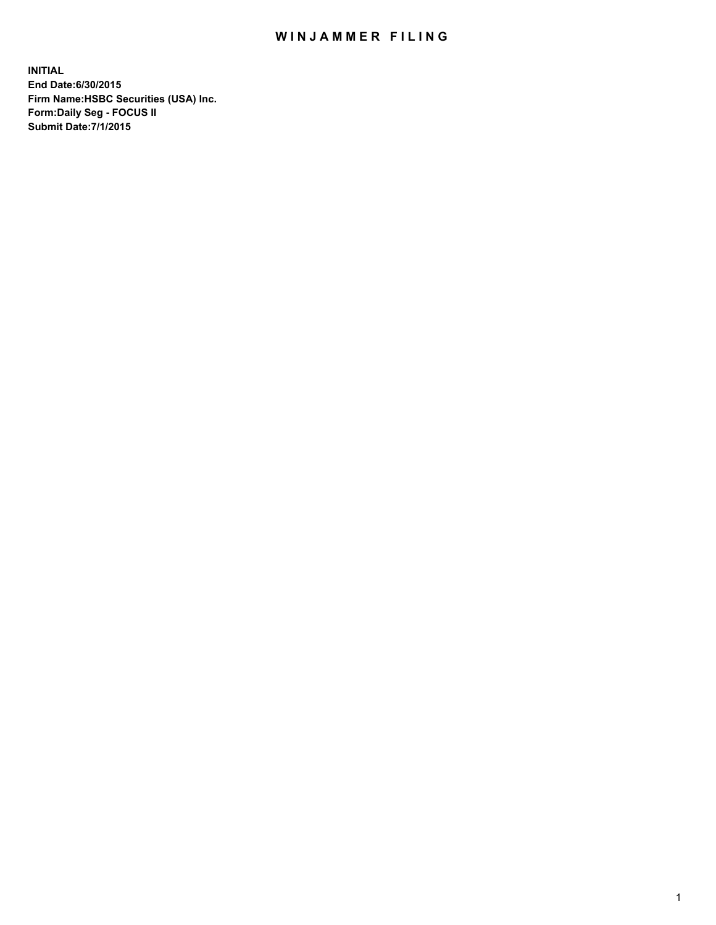## WIN JAMMER FILING

**INITIAL End Date:6/30/2015 Firm Name:HSBC Securities (USA) Inc. Form:Daily Seg - FOCUS II Submit Date:7/1/2015**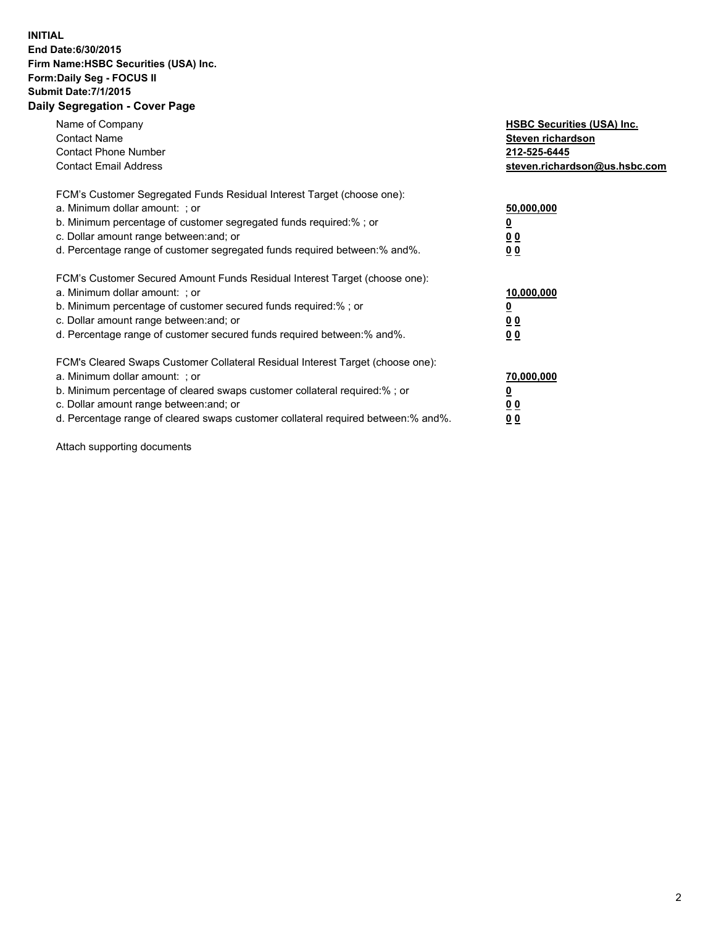## **INITIAL End Date:6/30/2015 Firm Name:HSBC Securities (USA) Inc. Form:Daily Seg - FOCUS II Submit Date:7/1/2015 Daily Segregation - Cover Page**

| Name of Company<br><b>Contact Name</b><br><b>Contact Phone Number</b><br><b>Contact Email Address</b>                                                                                                                                                                                                                         | <b>HSBC Securities (USA) Inc.</b><br>Steven richardson<br>212-525-6445<br>steven.richardson@us.hsbc.com |
|-------------------------------------------------------------------------------------------------------------------------------------------------------------------------------------------------------------------------------------------------------------------------------------------------------------------------------|---------------------------------------------------------------------------------------------------------|
| FCM's Customer Segregated Funds Residual Interest Target (choose one):<br>a. Minimum dollar amount: ; or<br>b. Minimum percentage of customer segregated funds required:% ; or<br>c. Dollar amount range between: and; or<br>d. Percentage range of customer segregated funds required between: % and %.                      | 50,000,000<br>0 <sub>0</sub><br>00                                                                      |
| FCM's Customer Secured Amount Funds Residual Interest Target (choose one):<br>a. Minimum dollar amount: ; or<br>b. Minimum percentage of customer secured funds required:%; or<br>c. Dollar amount range between: and; or<br>d. Percentage range of customer secured funds required between: % and %.                         | 10,000,000<br>00<br>00                                                                                  |
| FCM's Cleared Swaps Customer Collateral Residual Interest Target (choose one):<br>a. Minimum dollar amount: ; or<br>b. Minimum percentage of cleared swaps customer collateral required:%; or<br>c. Dollar amount range between: and; or<br>d. Percentage range of cleared swaps customer collateral required between:% and%. | 70,000,000<br>0 <sub>0</sub><br>00                                                                      |

Attach supporting documents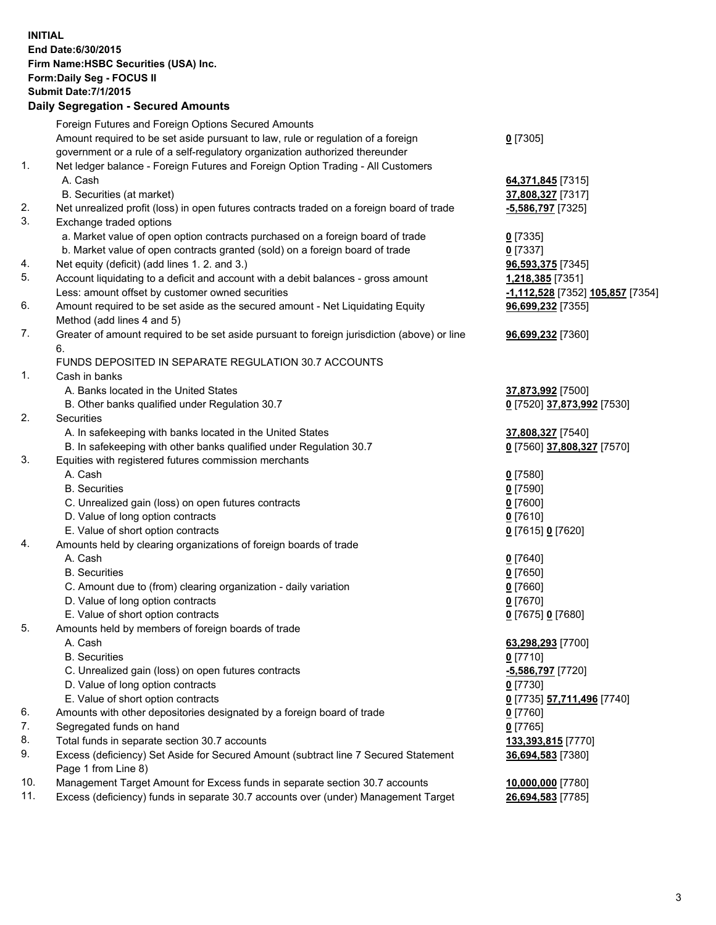**INITIAL End Date:6/30/2015 Firm Name:HSBC Securities (USA) Inc. Form:Daily Seg - FOCUS II Submit Date:7/1/2015 Daily Segregation - Secured Amounts** Foreign Futures and Foreign Options Secured Amounts Amount required to be set aside pursuant to law, rule or regulation of a foreign government or a rule of a self-regulatory organization authorized thereunder **0** [7305] 1. Net ledger balance - Foreign Futures and Foreign Option Trading - All Customers A. Cash **64,371,845** [7315] B. Securities (at market) **37,808,327** [7317] 2. Net unrealized profit (loss) in open futures contracts traded on a foreign board of trade **-5,586,797** [7325] 3. Exchange traded options a. Market value of open option contracts purchased on a foreign board of trade **0** [7335] b. Market value of open contracts granted (sold) on a foreign board of trade **0** [7337] 4. Net equity (deficit) (add lines 1. 2. and 3.) **96,593,375** [7345] 5. Account liquidating to a deficit and account with a debit balances - gross amount **1,218,385** [7351] Less: amount offset by customer owned securities **-1,112,528** [7352] **105,857** [7354] 6. Amount required to be set aside as the secured amount - Net Liquidating Equity Method (add lines 4 and 5) **96,699,232** [7355] 7. Greater of amount required to be set aside pursuant to foreign jurisdiction (above) or line 6. **96,699,232** [7360] FUNDS DEPOSITED IN SEPARATE REGULATION 30.7 ACCOUNTS 1. Cash in banks A. Banks located in the United States **37,873,992** [7500] B. Other banks qualified under Regulation 30.7 **0** [7520] **37,873,992** [7530] 2. Securities A. In safekeeping with banks located in the United States **37,808,327** [7540] B. In safekeeping with other banks qualified under Regulation 30.7 **0** [7560] **37,808,327** [7570] 3. Equities with registered futures commission merchants A. Cash **0** [7580] B. Securities **0** [7590] C. Unrealized gain (loss) on open futures contracts **0** [7600] D. Value of long option contracts **0** [7610] E. Value of short option contracts **0** [7615] **0** [7620] 4. Amounts held by clearing organizations of foreign boards of trade A. Cash **0** [7640] B. Securities **0** [7650] C. Amount due to (from) clearing organization - daily variation **0** [7660] D. Value of long option contracts **0** [7670] E. Value of short option contracts **0** [7675] **0** [7680] 5. Amounts held by members of foreign boards of trade A. Cash **63,298,293** [7700] B. Securities **0** [7710] C. Unrealized gain (loss) on open futures contracts **-5,586,797** [7720] D. Value of long option contracts **0** [7730] E. Value of short option contracts **0** [7735] **57,711,496** [7740] 6. Amounts with other depositories designated by a foreign board of trade **0** [7760] 7. Segregated funds on hand **0** [7765] 8. Total funds in separate section 30.7 accounts **133,393,815** [7770] 9. Excess (deficiency) Set Aside for Secured Amount (subtract line 7 Secured Statement Page 1 from Line 8) **36,694,583** [7380] 10. Management Target Amount for Excess funds in separate section 30.7 accounts **10,000,000** [7780] 11. Excess (deficiency) funds in separate 30.7 accounts over (under) Management Target **26,694,583** [7785]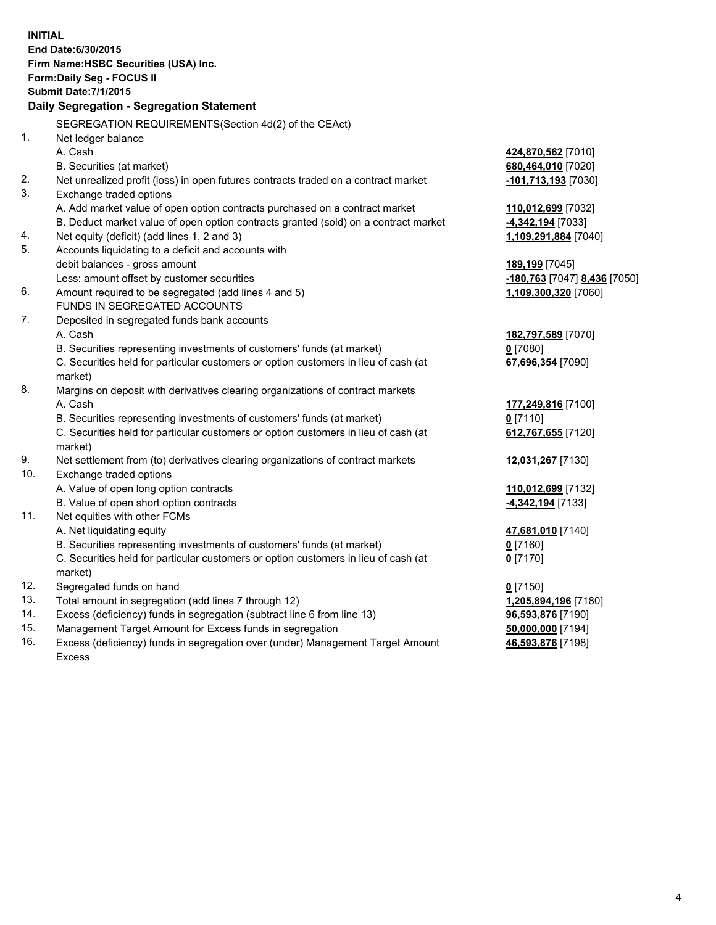| <b>INITIAL</b> | End Date: 6/30/2015<br>Firm Name: HSBC Securities (USA) Inc.<br>Form: Daily Seg - FOCUS II<br><b>Submit Date: 7/1/2015</b><br><b>Daily Segregation - Segregation Statement</b> |                              |
|----------------|--------------------------------------------------------------------------------------------------------------------------------------------------------------------------------|------------------------------|
|                | SEGREGATION REQUIREMENTS(Section 4d(2) of the CEAct)                                                                                                                           |                              |
| 1.             | Net ledger balance                                                                                                                                                             |                              |
|                | A. Cash                                                                                                                                                                        | 424,870,562 [7010]           |
|                | B. Securities (at market)                                                                                                                                                      | 680,464,010 [7020]           |
| 2.             | Net unrealized profit (loss) in open futures contracts traded on a contract market                                                                                             | -101,713,193 [7030]          |
| 3.             | Exchange traded options                                                                                                                                                        |                              |
|                | A. Add market value of open option contracts purchased on a contract market                                                                                                    | 110,012,699 [7032]           |
|                | B. Deduct market value of open option contracts granted (sold) on a contract market                                                                                            | -4,342,194 [7033]            |
| 4.             | Net equity (deficit) (add lines 1, 2 and 3)                                                                                                                                    | 1,109,291,884 [7040]         |
| 5.             | Accounts liquidating to a deficit and accounts with                                                                                                                            |                              |
|                | debit balances - gross amount                                                                                                                                                  | 189,199 [7045]               |
|                | Less: amount offset by customer securities                                                                                                                                     | -180,763 [7047] 8,436 [7050] |
| 6.             | Amount required to be segregated (add lines 4 and 5)                                                                                                                           | 1,109,300,320 [7060]         |
|                | FUNDS IN SEGREGATED ACCOUNTS                                                                                                                                                   |                              |
| 7.             | Deposited in segregated funds bank accounts                                                                                                                                    |                              |
|                | A. Cash                                                                                                                                                                        | 182,797,589 [7070]           |
|                | B. Securities representing investments of customers' funds (at market)                                                                                                         | $0$ [7080]                   |
|                | C. Securities held for particular customers or option customers in lieu of cash (at<br>market)                                                                                 | 67,696,354 [7090]            |
| 8.             | Margins on deposit with derivatives clearing organizations of contract markets                                                                                                 |                              |
|                | A. Cash                                                                                                                                                                        | 177,249,816 [7100]           |
|                | B. Securities representing investments of customers' funds (at market)                                                                                                         | $0$ [7110]                   |
|                | C. Securities held for particular customers or option customers in lieu of cash (at<br>market)                                                                                 | 612,767,655 [7120]           |
| 9.             | Net settlement from (to) derivatives clearing organizations of contract markets                                                                                                | 12,031,267 [7130]            |
| 10.            | Exchange traded options                                                                                                                                                        |                              |
|                | A. Value of open long option contracts                                                                                                                                         | 110,012,699 [7132]           |
|                | B. Value of open short option contracts                                                                                                                                        | 4,342,194 [7133]             |
| 11.            | Net equities with other FCMs                                                                                                                                                   |                              |
|                | A. Net liquidating equity                                                                                                                                                      | 47,681,010 [7140]            |
|                | B. Securities representing investments of customers' funds (at market)                                                                                                         | $0$ [7160]                   |
|                | C. Securities held for particular customers or option customers in lieu of cash (at<br>market)                                                                                 | $0$ [7170]                   |
| 12.            | Segregated funds on hand                                                                                                                                                       | $0$ [7150]                   |
| 13.            | Total amount in segregation (add lines 7 through 12)                                                                                                                           | 1,205,894,196 [7180]         |
| 14.            | Excess (deficiency) funds in segregation (subtract line 6 from line 13)                                                                                                        | 96,593,876 [7190]            |
| 15.            | Management Target Amount for Excess funds in segregation                                                                                                                       | 50,000,000 [7194]            |
| 16.            | Excess (deficiency) funds in segregation over (under) Management Target Amount                                                                                                 | 46,593,876 [7198]            |
|                | Excess                                                                                                                                                                         |                              |